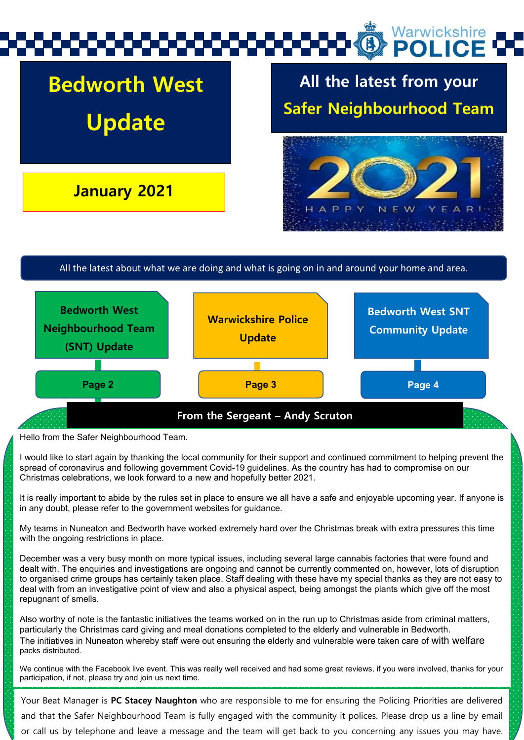

## **Bedworth West Update**

**January 2021**

## **All the latest from your Safer Neighbourhood Team**



All the latest about what we are doing and what is going on in and around your home and area.



Hello from the Safer Neighbourhood Team.

I would like to start again by thanking the local community for their support and continued commitment to helping prevent the spread of coronavirus and following government Covid-19 guidelines. As the country has had to compromise on our Christmas celebrations, we look forward to a new and hopefully better 2021.

It is really important to abide by the rules set in place to ensure we all have a safe and enjoyable upcoming year. If anyone is in any doubt, please refer to the government websites for guidance.

My teams in Nuneaton and Bedworth have worked extremely hard over the Christmas break with extra pressures this time with the ongoing restrictions in place.

December was a very busy month on more typical issues, including several large cannabis factories that were found and dealt with. The enquiries and investigations are ongoing and cannot be currently commented on, however, lots of disruption to organised crime groups has certainly taken place. Staff dealing with these have my special thanks as they are not easy to deal with from an investigative point of view and also a physical aspect, being amongst the plants which give off the most repugnant of smells.

Also worthy of note is the fantastic initiatives the teams worked on in the run up to Christmas aside from criminal matters, particularly the Christmas card giving and meal donations completed to the elderly and vulnerable in Bedworth. The initiatives in Nuneaton whereby staff were out ensuring the elderly and vulnerable were taken care of with welfare packs distributed.

We continue with the Facebook live event. This was really well received and had some great reviews, if you were involved, thanks for your participation, if not, please try and join us next time.

Your Beat Manager is **PC Stacey Naughton** who are responsible to me for ensuring the Policing Priorities are delivered and that the Safer Neighbourhood Team is fully engaged with the community it polices. Please drop us a line by email or call us by telephone and leave a message and the team will get back to you concerning any issues you may have.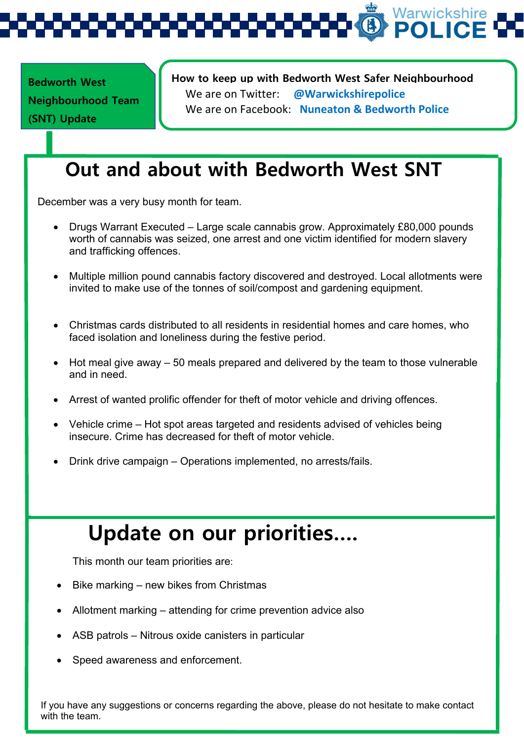Warwickshire

**Bedworth West Neighbourhood Team (SNT) Update** 

#### **How to keep up with Bedworth West Safer Neighbourhood**  We are on Twitter: **@Warwickshirepolice**

We are on Facebook: **Nuneaton & Bedworth Police**

## **Out and about with Bedworth West SNT**

December was a very busy month for team.

- Drugs Warrant Executed Large scale cannabis grow. Approximately £80,000 pounds worth of cannabis was seized, one arrest and one victim identified for modern slavery and trafficking offences.
- Multiple million pound cannabis factory discovered and destroyed. Local allotments were invited to make use of the tonnes of soil/compost and gardening equipment.
- Christmas cards distributed to all residents in residential homes and care homes, who faced isolation and loneliness during the festive period.
- Hot meal give away  $-50$  meals prepared and delivered by the team to those vulnerable and in need.
- Arrest of wanted prolific offender for theft of motor vehicle and driving offences.
- Vehicle crime Hot spot areas targeted and residents advised of vehicles being insecure. Crime has decreased for theft of motor vehicle.
- Drink drive campaign Operations implemented, no arrests/fails.

## **Update on our priorities….**

This month our team priorities are:

- Bike marking new bikes from Christmas
- Allotment marking attending for crime prevention advice also
- ASB patrols Nitrous oxide canisters in particular
- Speed awareness and enforcement.

If you have any suggestions or concerns regarding the above, please do not hesitate to make contact with the team.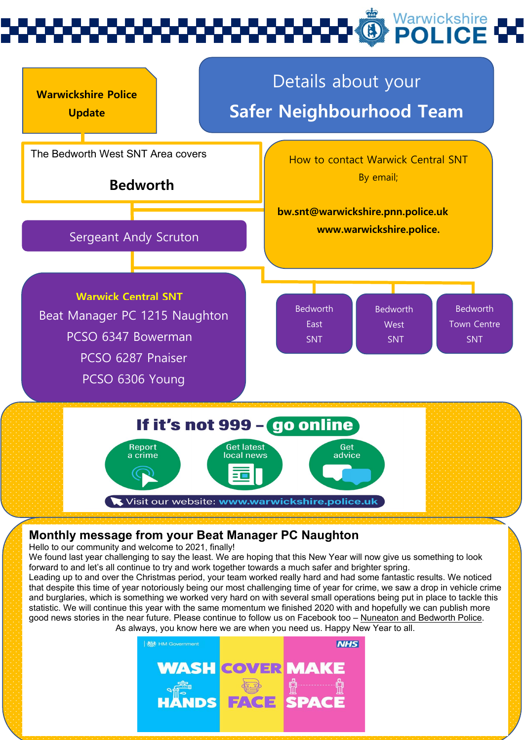# Warwickshire<br>**POLICE**



#### **Monthly message from your Beat Manager PC Naughton**

Hello to our community and welcome to 2021, finally!

We found last year challenging to say the least. We are hoping that this New Year will now give us something to look forward to and let's all continue to try and work together towards a much safer and brighter spring.

Leading up to and over the Christmas period, your team worked really hard and had some fantastic results. We noticed that despite this time of year notoriously being our most challenging time of year for crime, we saw a drop in vehicle crime and burglaries, which is something we worked very hard on with several small operations being put in place to tackle this statistic. We will continue this year with the same momentum we finished 2020 with and hopefully we can publish more good news stories in the near future. Please continue to follow us on Facebook too – Nuneaton and Bedworth Police. As always, you know here we are when you need us. Happy New Year to all.